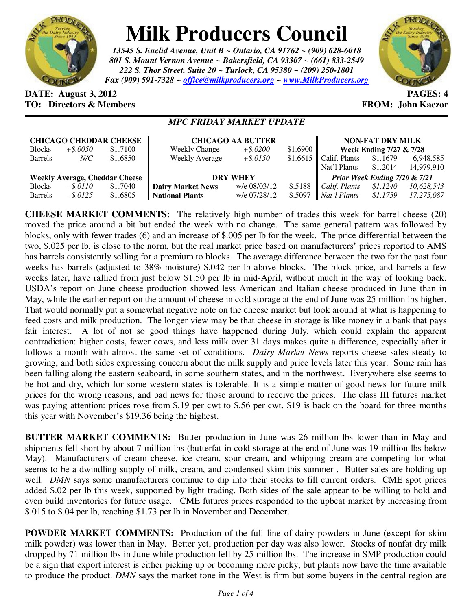

# **Milk Producers Council**

*13545 S. Euclid Avenue, Unit B ~ Ontario, CA 91762 ~ (909) 628-6018 801 S. Mount Vernon Avenue ~ Bakersfield, CA 93307 ~ (661) 833-2549 222 S. Thor Street, Suite 20 ~ Turlock, CA 95380 ~ (209) 250-1801 Fax (909) 591-7328 ~ office@milkproducers.org ~ www.MilkProducers.org*



## **DATE: August 3, 2012 PAGES: 4 TO: Directors & Members EROM: John Kaczor**

### *MPC FRIDAY MARKET UPDATE*

| <b>CHICAGO CHEDDAR CHEESE</b>         |             |          | <b>CHICAGO AA BUTTER</b> |              |          | <b>NON-FAT DRY MILK</b>       |          |            |
|---------------------------------------|-------------|----------|--------------------------|--------------|----------|-------------------------------|----------|------------|
| <b>Blocks</b>                         | $+$ \$.0050 | \$1.7100 | <b>Weekly Change</b>     | $+$ \$.0200  | \$1.6900 | Week Ending 7/27 & 7/28       |          |            |
| <b>Barrels</b>                        | N/C         | \$1.6850 | <b>Weekly Average</b>    | $+$ \$.0150  | \$1.6615 | Calif. Plants                 | \$1.1679 | 6,948,585  |
|                                       |             |          |                          |              |          | Nat'l Plants                  | \$1.2014 | 14,979,910 |
| <b>Weekly Average, Cheddar Cheese</b> |             |          | <b>DRY WHEY</b>          |              |          | Prior Week Ending 7/20 & 7/21 |          |            |
| <b>Blocks</b>                         | $-.5.0110$  | \$1.7040 | <b>Dairy Market News</b> | w/e 08/03/12 | \$.5188  | Calif. Plants                 | \$1.1240 | 10,628,543 |
| <b>Barrels</b>                        | $-.5.0125$  | \$1.6805 | <b>National Plants</b>   | w/e 07/28/12 | \$.5097  | Nat'l Plants                  | \$1.1759 | 17.275.087 |

**CHEESE MARKET COMMENTS:** The relatively high number of trades this week for barrel cheese (20) moved the price around a bit but ended the week with no change. The same general pattern was followed by blocks, only with fewer trades (6) and an increase of \$.005 per lb for the week. The price differential between the two, \$.025 per lb, is close to the norm, but the real market price based on manufacturers' prices reported to AMS has barrels consistently selling for a premium to blocks. The average difference between the two for the past four weeks has barrels (adjusted to 38% moisture) \$.042 per lb above blocks. The block price, and barrels a few weeks later, have rallied from just below \$1.50 per lb in mid-April, without much in the way of looking back. USDA's report on June cheese production showed less American and Italian cheese produced in June than in May, while the earlier report on the amount of cheese in cold storage at the end of June was 25 million lbs higher. That would normally put a somewhat negative note on the cheese market but look around at what is happening to feed costs and milk production. The longer view may be that cheese in storage is like money in a bank that pays fair interest. A lot of not so good things have happened during July, which could explain the apparent contradiction: higher costs, fewer cows, and less milk over 31 days makes quite a difference, especially after it follows a month with almost the same set of conditions. *Dairy Market News* reports cheese sales steady to growing, and both sides expressing concern about the milk supply and price levels later this year. Some rain has been falling along the eastern seaboard, in some southern states, and in the northwest. Everywhere else seems to be hot and dry, which for some western states is tolerable. It is a simple matter of good news for future milk prices for the wrong reasons, and bad news for those around to receive the prices. The class III futures market was paying attention: prices rose from \$.19 per cwt to \$.56 per cwt. \$19 is back on the board for three months this year with November's \$19.36 being the highest.

**BUTTER MARKET COMMENTS:** Butter production in June was 26 million lbs lower than in May and shipments fell short by about 7 million lbs (butterfat in cold storage at the end of June was 19 million lbs below May). Manufacturers of cream cheese, ice cream, sour cream, and whipping cream are competing for what seems to be a dwindling supply of milk, cream, and condensed skim this summer . Butter sales are holding up well. *DMN* says some manufacturers continue to dip into their stocks to fill current orders. CME spot prices added \$.02 per lb this week, supported by light trading. Both sides of the sale appear to be willing to hold and even build inventories for future usage. CME futures prices responded to the upbeat market by increasing from \$.015 to \$.04 per lb, reaching \$1.73 per lb in November and December.

**POWDER MARKET COMMENTS:** Production of the full line of dairy powders in June (except for skim milk powder) was lower than in May. Better yet, production per day was also lower. Stocks of nonfat dry milk dropped by 71 million lbs in June while production fell by 25 million lbs. The increase in SMP production could be a sign that export interest is either picking up or becoming more picky, but plants now have the time available to produce the product. *DMN* says the market tone in the West is firm but some buyers in the central region are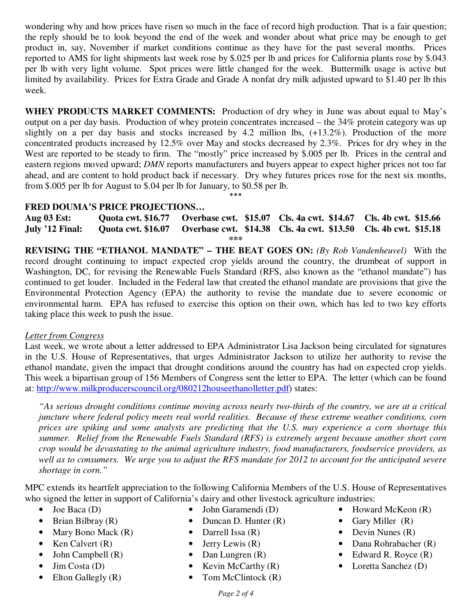wondering why and how prices have risen so much in the face of record high production. That is a fair question; the reply should be to look beyond the end of the week and wonder about what price may be enough to get product in, say, November if market conditions continue as they have for the past several months. Prices reported to AMS for light shipments last week rose by \$.025 per lb and prices for California plants rose by \$.043 per lb with very light volume. Spot prices were little changed for the week. Buttermilk usage is active but limited by availability. Prices for Extra Grade and Grade A nonfat dry milk adjusted upward to \$1.40 per lb this week.

**WHEY PRODUCTS MARKET COMMENTS:** Production of dry whey in June was about equal to May's output on a per day basis. Production of whey protein concentrates increased – the 34% protein category was up slightly on a per day basis and stocks increased by 4.2 million lbs, (+13.2%). Production of the more concentrated products increased by 12.5% over May and stocks decreased by 2.3%. Prices for dry whey in the West are reported to be steady to firm. The "mostly" price increased by \$.005 per lb. Prices in the central and eastern regions moved upward; *DMN* reports manufacturers and buyers appear to expect higher prices not too far ahead, and are content to hold product back if necessary. Dry whey futures prices rose for the next six months, from \$.005 per lb for August to \$.04 per lb for January, to \$0.58 per lb.

\*\*\*

#### **FRED DOUMA'S PRICE PROJECTIONS…**

**Aug 03 Est: Quota cwt. \$16.77 Overbase cwt. \$15.07 Cls. 4a cwt. \$14.67 Cls. 4b cwt. \$15.66 July '12 Final: Quota cwt. \$16.07 Overbase cwt. \$14.38 Cls. 4a cwt. \$13.50 Cls. 4b cwt. \$15.18 \*\*\*** 

**REVISING THE "ETHANOL MANDATE" – THE BEAT GOES ON:** *(By Rob Vandenheuvel)* With the record drought continuing to impact expected crop yields around the country, the drumbeat of support in Washington, DC, for revising the Renewable Fuels Standard (RFS, also known as the "ethanol mandate") has continued to get louder. Included in the Federal law that created the ethanol mandate are provisions that give the Environmental Protection Agency (EPA) the authority to revise the mandate due to severe economic or environmental harm. EPA has refused to exercise this option on their own, which has led to two key efforts taking place this week to push the issue.

#### *Letter from Congress*

Last week, we wrote about a letter addressed to EPA Administrator Lisa Jackson being circulated for signatures in the U.S. House of Representatives, that urges Administrator Jackson to utilize her authority to revise the ethanol mandate, given the impact that drought conditions around the country has had on expected crop yields. This week a bipartisan group of 156 Members of Congress sent the letter to EPA. The letter (which can be found at: http://www.milkproducerscouncil.org/080212houseethanolletter.pdf) states:

*"As serious drought conditions continue moving across nearly two-thirds of the country, we are at a critical juncture where federal policy meets real world realities. Because of these extreme weather conditions, corn prices are spiking and some analysts are predicting that the U.S. may experience a corn shortage this summer. Relief from the Renewable Fuels Standard (RFS) is extremely urgent because another short corn crop would be devastating to the animal agriculture industry, food manufacturers, foodservice providers, as well as to consumers. We urge you to adjust the RFS mandate for 2012 to account for the anticipated severe shortage in corn."* 

MPC extends its heartfelt appreciation to the following California Members of the U.S. House of Representatives who signed the letter in support of California's dairy and other livestock agriculture industries:

- Joe Baca (D)
- Brian Bilbray (R)
- Mary Bono Mack (R)
- Ken Calvert  $(R)$
- John Campbell (R)
- Jim Costa  $(D)$
- Elton Gallegly (R)
- John Garamendi (D)
- Duncan D. Hunter (R)
- Darrell Issa (R)
- Jerry Lewis  $(R)$
- Dan Lungren (R)
- Kevin McCarthy  $(R)$
- Tom McClintock  $(R)$
- Howard McKeon (R)
- Gary Miller (R)
- Devin Nunes (R)
- Dana Rohrabacher (R)
- Edward R. Royce (R)
- Loretta Sanchez (D)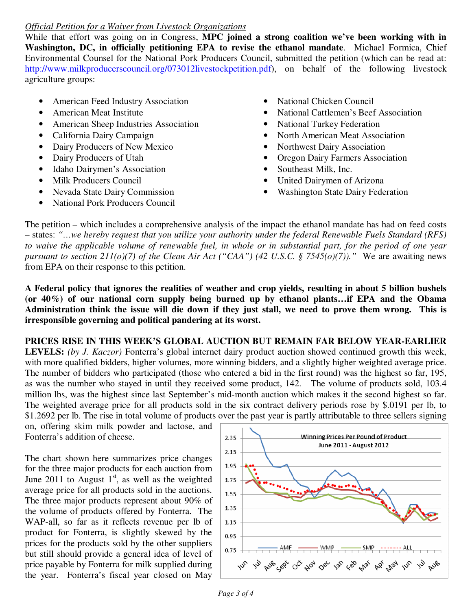#### *Official Petition for a Waiver from Livestock Organizations*

While that effort was going on in Congress, **MPC joined a strong coalition we've been working with in Washington, DC, in officially petitioning EPA to revise the ethanol mandate**. Michael Formica, Chief Environmental Counsel for the National Pork Producers Council, submitted the petition (which can be read at: http://www.milkproducerscouncil.org/073012livestockpetition.pdf), on behalf of the following livestock agriculture groups:

- American Feed Industry Association
- American Meat Institute
- American Sheep Industries Association
- California Dairy Campaign
- Dairy Producers of New Mexico
- Dairy Producers of Utah
- Idaho Dairymen's Association
- Milk Producers Council
- Nevada State Dairy Commission
- National Pork Producers Council
- National Chicken Council
- National Cattlemen's Beef Association
- National Turkey Federation
- North American Meat Association
- Northwest Dairy Association
- Oregon Dairy Farmers Association
- Southeast Milk, Inc.
- United Dairymen of Arizona
- Washington State Dairy Federation

The petition – which includes a comprehensive analysis of the impact the ethanol mandate has had on feed costs – states: *"…we hereby request that you utilize your authority under the federal Renewable Fuels Standard (RFS) to waive the applicable volume of renewable fuel, in whole or in substantial part, for the period of one year pursuant to section 211(o)(7) of the Clean Air Act ("CAA") (42 U.S.C. § 7545(o)(7))."* We are awaiting news from EPA on their response to this petition.

**A Federal policy that ignores the realities of weather and crop yields, resulting in about 5 billion bushels (or 40%) of our national corn supply being burned up by ethanol plants…if EPA and the Obama Administration think the issue will die down if they just stall, we need to prove them wrong. This is irresponsible governing and political pandering at its worst.** 

**PRICES RISE IN THIS WEEK'S GLOBAL AUCTION BUT REMAIN FAR BELOW YEAR-EARLIER LEVELS:** *(by J. Kaczor)* Fonterra's global internet dairy product auction showed continued growth this week, with more qualified bidders, higher volumes, more winning bidders, and a slightly higher weighted average price. The number of bidders who participated (those who entered a bid in the first round) was the highest so far, 195, as was the number who stayed in until they received some product, 142. The volume of products sold, 103.4 million lbs, was the highest since last September's mid-month auction which makes it the second highest so far. The weighted average price for all products sold in the six contract delivery periods rose by \$.0191 per lb, to \$1.2692 per lb. The rise in total volume of products over the past year is partly attributable to three sellers signing

on, offering skim milk powder and lactose, and Fonterra's addition of cheese.

The chart shown here summarizes price changes for the three major products for each auction from June 2011 to August  $1<sup>st</sup>$ , as well as the weighted average price for all products sold in the auctions. The three major products represent about 90% of the volume of products offered by Fonterra. The WAP-all, so far as it reflects revenue per lb of product for Fonterra, is slightly skewed by the prices for the products sold by the other suppliers but still should provide a general idea of level of price payable by Fonterra for milk supplied during the year. Fonterra's fiscal year closed on May